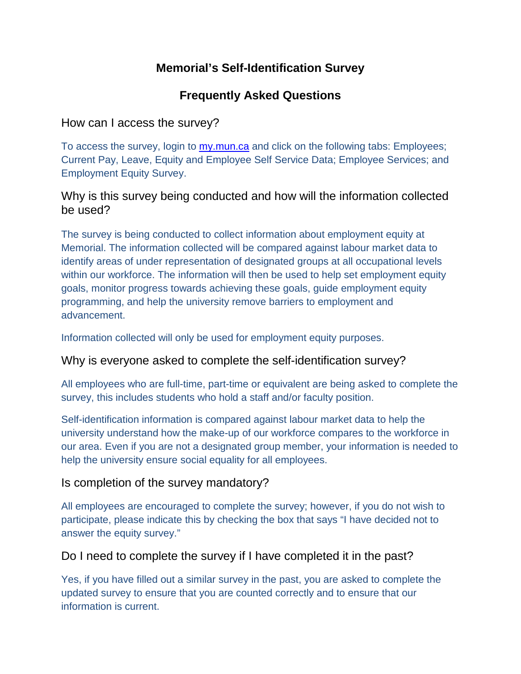## **Memorial's Self-Identification Survey**

# **Frequently Asked Questions**

## How can I access the survey?

To access the survey, login to [my.mun.ca](https://login.mun.ca/cas/login?service=https%3A%2F%2Fmy.mun.ca%2F) and click on the following tabs: Employees; Current Pay, Leave, Equity and Employee Self Service Data; Employee Services; and Employment Equity Survey.

### Why is this survey being conducted and how will the information collected be used?

The survey is being conducted to collect information about employment equity at Memorial. The information collected will be compared against labour market data to identify areas of under representation of designated groups at all occupational levels within our workforce. The information will then be used to help set employment equity goals, monitor progress towards achieving these goals, guide employment equity programming, and help the university remove barriers to employment and advancement.

Information collected will only be used for employment equity purposes.

### Why is everyone asked to complete the self-identification survey?

All employees who are full-time, part-time or equivalent are being asked to complete the survey, this includes students who hold a staff and/or faculty position.

Self-identification information is compared against labour market data to help the university understand how the make-up of our workforce compares to the workforce in our area. Even if you are not a designated group member, your information is needed to help the university ensure social equality for all employees.

### Is completion of the survey mandatory?

All employees are encouraged to complete the survey; however, if you do not wish to participate, please indicate this by checking the box that says "I have decided not to answer the equity survey."

### Do I need to complete the survey if I have completed it in the past?

Yes, if you have filled out a similar survey in the past, you are asked to complete the updated survey to ensure that you are counted correctly and to ensure that our information is current.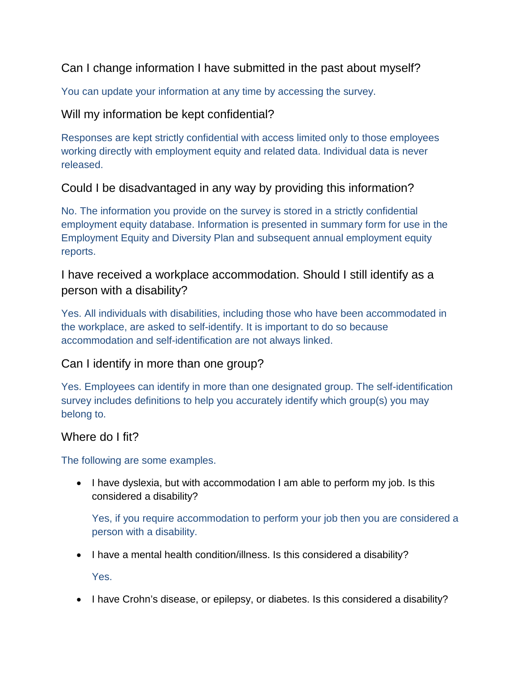### Can I change information I have submitted in the past about myself?

You can update your information at any time by accessing the survey.

### Will my information be kept confidential?

Responses are kept strictly confidential with access limited only to those employees working directly with employment equity and related data. Individual data is never released.

### Could I be disadvantaged in any way by providing this information?

No. The information you provide on the survey is stored in a strictly confidential employment equity database. Information is presented in summary form for use in the Employment Equity and Diversity Plan and subsequent annual employment equity reports.

## I have received a workplace accommodation. Should I still identify as a person with a disability?

Yes. All individuals with disabilities, including those who have been accommodated in the workplace, are asked to self-identify. It is important to do so because accommodation and self-identification are not always linked.

### Can I identify in more than one group?

Yes. Employees can identify in more than one designated group. The self-identification survey includes definitions to help you accurately identify which group(s) you may belong to.

#### Where do I fit?

The following are some examples.

• I have dyslexia, but with accommodation I am able to perform my job. Is this considered a disability?

Yes, if you require accommodation to perform your job then you are considered a person with a disability.

• I have a mental health condition/illness. Is this considered a disability?

Yes.

• I have Crohn's disease, or epilepsy, or diabetes. Is this considered a disability?